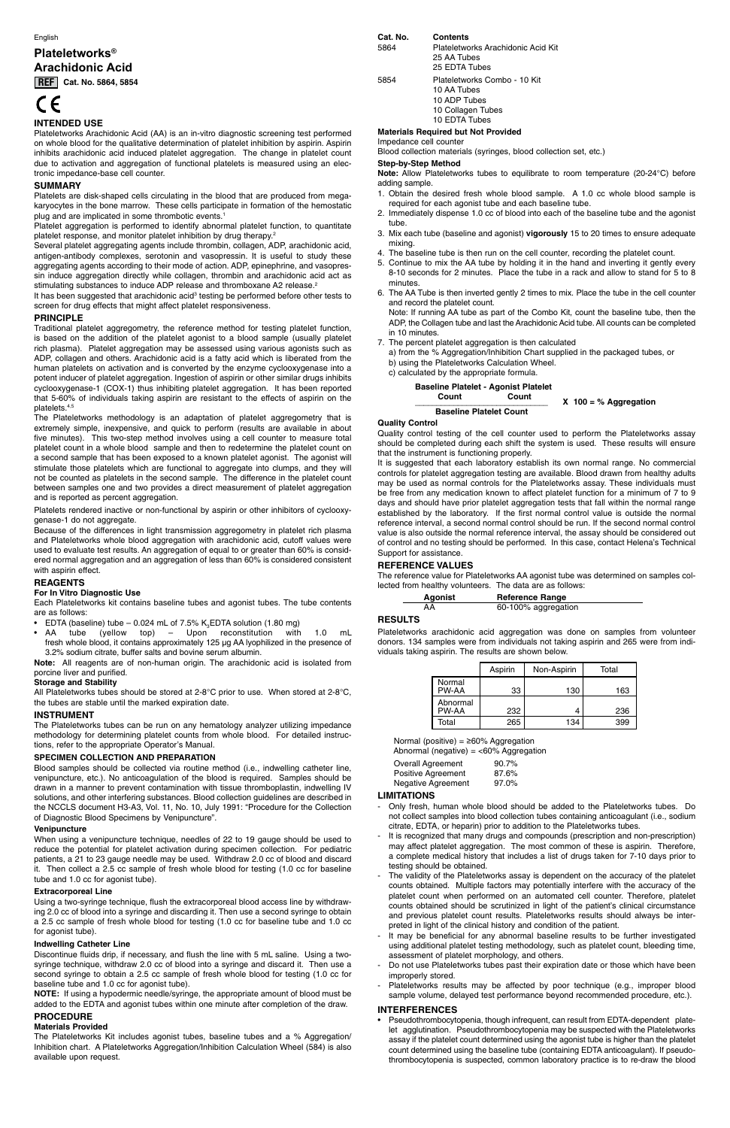#### English

# **Plateletworks® Arachidonic Acid**

**REF** Cat. No. 5864, 5854

# CE

# **INTENDED USE**

Platelets are disk-shaped cells circulating in the blood that are produced from megakaryocytes in the bone marrow. These cells participate in formation of the hemostatic plug and are implicated in some thrombotic events.<sup>1</sup>

Plateletworks Arachidonic Acid (AA) is an in-vitro diagnostic screening test performed on whole blood for the qualitative determination of platelet inhibition by aspirin. Aspirin inhibits arachidonic acid induced platelet aggregation. The change in platelet count due to activation and aggregation of functional platelets is measured using an electronic impedance-base cell counter.

Platelet aggregation is performed to identify abnormal platelet function, to quantitate platelet response, and monitor platelet inhibition by drug therapy.<sup>2</sup>

Several platelet aggregating agents include thrombin, collagen, ADP, arachidonic acid, antigen-antibody complexes, serotonin and vasopressin. It is useful to study these aggregating agents according to their mode of action. ADP, epinephrine, and vasopressin induce aggregation directly while collagen, thrombin and arachidonic acid act as stimulating substances to induce ADP release and thromboxane A2 release.<sup>2</sup>

# **SUMMARY**

It has been suggested that arachidonic acid<sup>3</sup> testing be performed before other tests to screen for drug effects that might affect platelet responsiveness.

# **PRINCIPLE**

Traditional platelet aggregometry, the reference method for testing platelet function, is based on the addition of the platelet agonist to a blood sample (usually platelet rich plasma). Platelet aggregation may be assessed using various agonists such as ADP, collagen and others. Arachidonic acid is a fatty acid which is liberated from the human platelets on activation and is converted by the enzyme cyclooxygenase into a potent inducer of platelet aggregation. Ingestion of aspirin or other similar drugs inhibits cyclooxygenase-1 (COX-1) thus inhibiting platelet aggregation. It has been reported that 5-60% of individuals taking aspirin are resistant to the effects of aspirin on the platelets.4,5

- EDTA (baseline) tube  $-$  0.024 mL of 7.5%  $\text{K}_{3}$ EDTA solution (1.80 mg)
- AA tube (yellow top) Upon reconstitution with 1.0 mL fresh whole blood, it contains approximately 125 µg AA lyophilized in the presence of 3.2% sodium citrate, buffer salts and bovine serum albumin.

The Plateletworks methodology is an adaptation of platelet aggregometry that is extremely simple, inexpensive, and quick to perform (results are available in about five minutes). This two-step method involves using a cell counter to measure total platelet count in a whole blood sample and then to redetermine the platelet count on a second sample that has been exposed to a known platelet agonist. The agonist will stimulate those platelets which are functional to aggregate into clumps, and they will not be counted as platelets in the second sample. The difference in the platelet count between samples one and two provides a direct measurement of platelet aggregation and is reported as percent aggregation.

Platelets rendered inactive or non-functional by aspirin or other inhibitors of cyclooxygenase-1 do not aggregate.

Because of the differences in light transmission aggregometry in platelet rich plasma and Plateletworks whole blood aggregation with arachidonic acid, cutoff values were used to evaluate test results. An aggregation of equal to or greater than 60% is considered normal aggregation and an aggregation of less than 60% is considered consistent with aspirin effect.

# **REAGENTS**

# **For In Vitro Diagnostic Use**

Each Plateletworks kit contains baseline tubes and agonist tubes. The tube contents are as follows:

**Note:** All reagents are of non-human origin. The arachidonic acid is isolated from porcine liver and purified.

# **Storage and Stability**

 **Count Count**  $X$  100 = % Aggregation

All Plateletworks tubes should be stored at 2-8°C prior to use. When stored at 2-8°C, the tubes are stable until the marked expiration date.

# **INSTRUMENT**

The Plateletworks tubes can be run on any hematology analyzer utilizing impedance methodology for determining platelet counts from whole blood. For detailed instructions, refer to the appropriate Operator's Manual.

# **SPECIMEN COLLECTION AND PREPARATION**

Blood samples should be collected via routine method (i.e., indwelling catheter line, venipuncture, etc.). No anticoagulation of the blood is required. Samples should be drawn in a manner to prevent contamination with tissue thromboplastin, indwelling IV solutions, and other interfering substances. Blood collection guidelines are described in the NCCLS document H3-A3, Vol. 11, No. 10, July 1991: "Procedure for the Collection of Diagnostic Blood Specimens by Venipuncture".

#### **Venipuncture**

When using a venipuncture technique, needles of 22 to 19 gauge should be used to reduce the potential for platelet activation during specimen collection. For pediatric patients, a 21 to 23 gauge needle may be used. Withdraw 2.0 cc of blood and discard it. Then collect a 2.5 cc sample of fresh whole blood for testing (1.0 cc for baseline tube and 1.0 cc for agonist tube).

#### **Extracorporeal Line**

Using a two-syringe technique, flush the extracorporeal blood access line by withdrawing 2.0 cc of blood into a syringe and discarding it. Then use a second syringe to obtain a 2.5 cc sample of fresh whole blood for testing (1.0 cc for baseline tube and 1.0 cc for agonist tube).

#### **Indwelling Catheter Line**

Discontinue fluids drip, if necessary, and flush the line with 5 mL saline. Using a twosyringe technique, withdraw 2.0 cc of blood into a syringe and discard it. Then use a second syringe to obtain a 2.5 cc sample of fresh whole blood for testing (1.0 cc for baseline tube and 1.0 cc for agonist tube).

**NOTE:** If using a hypodermic needle/syringe, the appropriate amount of blood must be added to the EDTA and agonist tubes within one minute after completion of the draw.

#### **PROCEDURE**

#### **Materials Provided**

The Plateletworks Kit includes agonist tubes, baseline tubes and a % Aggregation/ Inhibition chart. A Plateletworks Aggregation/Inhibition Calculation Wheel (584) is also available upon request.

# **Cat. No. Contents**

5864 Plateletworks Arachidonic Acid Kit 25 AA Tubes 25 EDTA Tubes

5854 Plateletworks Combo - 10 Kit 10 AA Tubes 10 ADP Tubes 10 Collagen Tubes 10 EDTA Tubes

**Materials Required but Not Provided**

Impedance cell counter Blood collection materials (syringes, blood collection set, etc.)

# **Step-by-Step Method**

**Note:** Allow Plateletworks tubes to equilibrate to room temperature (20-24°C) before adding sample.

- 1. Obtain the desired fresh whole blood sample. A 1.0 cc whole blood sample is required for each agonist tube and each baseline tube.
- 2. Immediately dispense 1.0 cc of blood into each of the baseline tube and the agonist tube.
- 3. Mix each tube (baseline and agonist) **vigorously** 15 to 20 times to ensure adequate mixing.
- 4. The baseline tube is then run on the cell counter, recording the platelet count.
- 5. Continue to mix the AA tube by holding it in the hand and inverting it gently every 8-10 seconds for 2 minutes. Place the tube in a rack and allow to stand for 5 to 8 minutes.
- 6. The AA Tube is then inverted gently 2 times to mix. Place the tube in the cell counter and record the platelet count.

 Note: If running AA tube as part of the Combo Kit, count the baseline tube, then the ADP, the Collagen tube and last the Arachidonic Acid tube. All counts can be completed in 10 minutes.

- 7. The percent platelet aggregation is then calculated
	- a) from the % Aggregation/Inhibition Chart supplied in the packaged tubes, or
	- b) using the Plateletworks Calculation Wheel.

c) calculated by the appropriate formula.

#### **Baseline Platelet - Agonist Platelet**

#### **Baseline Platelet Count Quality Control**

Quality control testing of the cell counter used to perform the Plateletworks assay should be completed during each shift the system is used. These results will ensure that the instrument is functioning properly.

It is suggested that each laboratory establish its own normal range. No commercial controls for platelet aggregation testing are available. Blood drawn from healthy adults may be used as normal controls for the Plateletworks assay. These individuals must be free from any medication known to affect platelet function for a minimum of 7 to 9 days and should have prior platelet aggregation tests that fall within the normal range established by the laboratory. If the first normal control value is outside the normal reference interval, a second normal control should be run. If the second normal control value is also outside the normal reference interval, the assay should be considered out of control and no testing should be performed. In this case, contact Helena's Technical Support for assistance.

# **REFERENCE VALUES**

The reference value for Plateletworks AA agonist tube was determined on samples collected from healthy volunteers. The data are as follows:

| Agonist | <b>Reference Range</b> |
|---------|------------------------|
| AА      | 60-100% aggregation    |

# **RESULTS**

Plateletworks arachidonic acid aggregation was done on samples from volunteer donors. 134 samples were from individuals not taking aspirin and 265 were from individuals taking aspirin. The results are shown below.

|                   | Aspirin | Non-Aspirin | Total |
|-------------------|---------|-------------|-------|
| Normal<br>PW-AA   | 33      | 130         | 163   |
| Abnormal<br>PW-AA | 232     |             | 236   |
| Total             | 265     | 134         | 399   |

Normal (positive) =  $\geq 60\%$  Aggregation

Abnormal (negative) = <60% Aggregation

|                    | .<br>ີ |
|--------------------|--------|
| Overall Agreement  | 90.7%  |
| Positive Agreement | 87.6%  |
| Negative Agreement | 97.0%  |

# **LIMITATIONS**

- Only fresh, human whole blood should be added to the Plateletworks tubes. Do not collect samples into blood collection tubes containing anticoagulant (i.e., sodium citrate, EDTA, or heparin) prior to addition to the Plateletworks tubes.

- It is recognized that many drugs and compounds (prescription and non-prescription) may affect platelet aggregation. The most common of these is aspirin. Therefore, a complete medical history that includes a list of drugs taken for 7-10 days prior to testing should be obtained.
- The validity of the Plateletworks assay is dependent on the accuracy of the platelet counts obtained. Multiple factors may potentially interfere with the accuracy of the platelet count when performed on an automated cell counter. Therefore, platelet counts obtained should be scrutinized in light of the patient's clinical circumstance and previous platelet count results. Plateletworks results should always be interpreted in light of the clinical history and condition of the patient.
- It may be beneficial for any abnormal baseline results to be further investigated using additional platelet testing methodology, such as platelet count, bleeding time, assessment of platelet morphology, and others.
- Do not use Plateletworks tubes past their expiration date or those which have been improperly stored.
- Plateletworks results may be affected by poor technique (e.g., improper blood sample volume, delayed test performance beyond recommended procedure, etc.).

#### **INTERFERENCES**

• Pseudothrombocytopenia, though infrequent, can result from EDTA-dependent platelet agglutination. Pseudothrombocytopenia may be suspected with the Plateletworks assay if the platelet count determined using the agonist tube is higher than the platelet count determined using the baseline tube (containing EDTA anticoagulant). If pseudothrombocytopenia is suspected, common laboratory practice is to re-draw the blood